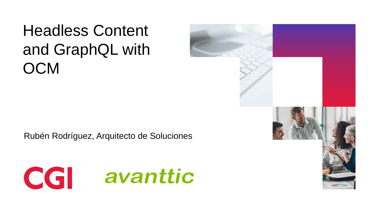Headless Content and GraphQL with **OCM** 

Rubén Rodríguez, Arquitecto de Soluciones



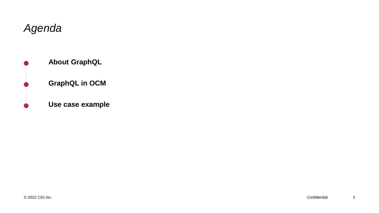#### *Agenda*



**About GraphQL**

#### **GraphQL in OCM**

#### **Use case example**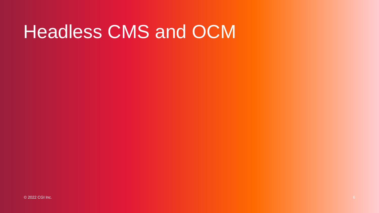## Headless CMS and OCM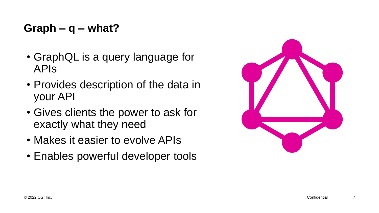#### **Graph – q – what?**

- GraphQL is a query language for APIs
- Provides description of the data in your API
- Gives clients the power to ask for exactly what they need
- Makes it easier to evolve APIs
- Enables powerful developer tools

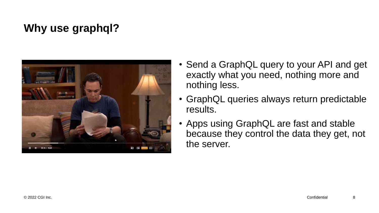### **Why use graphql?**



- Send a GraphQL query to your API and get exactly what you need, nothing more and nothing less.
- GraphQL queries always return predictable results.
- Apps using GraphQL are fast and stable because they control the data they get, not the server.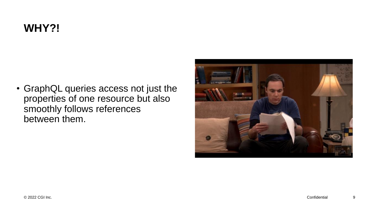### **WHY?!**

• GraphQL queries access not just the properties of one resource but also smoothly follows references between them.

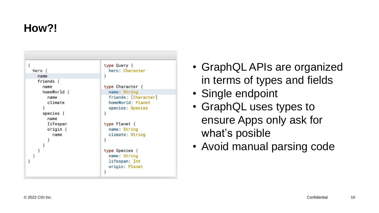### **How?!**



- GraphQL APIs are organized in terms of types and fields
- Single endpoint
- GraphQL uses types to ensure Apps only ask for what's posible
- Avoid manual parsing code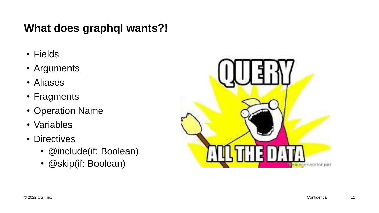#### **What does graphql wants?!**

- Fields
- Arguments
- Aliases
- Fragments
- Operation Name
- Variables
- Directives
	- @include(if: Boolean)
	- @skip(if: Boolean)

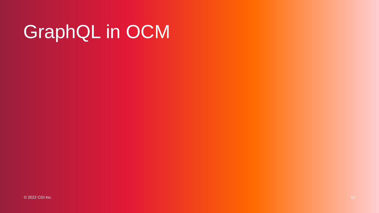# GraphQL in OCM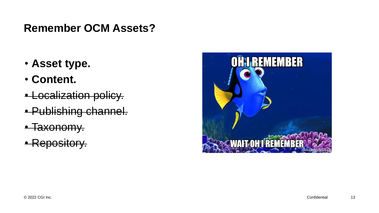#### **Remember OCM Assets?**

- **Asset type.**
- **Content.**
- Localization policy.
- Publishing channel.
- Taxonomy.
- Repository.

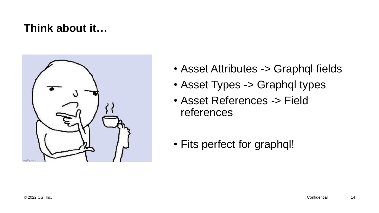#### **Think about it…**



- Asset Attributes -> Graphql fields
- Asset Types -> Graphql types
- Asset References -> Field references
- Fits perfect for graphql!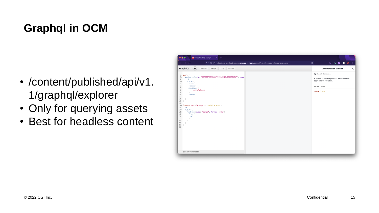## **Graphql in OCM**

- /content/published/api/v1. 1/graphql/explorer
- Only for querying assets
- Best for headless content

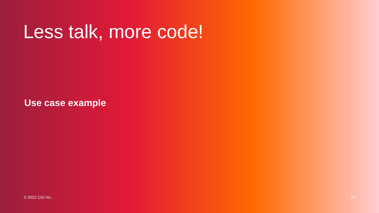## Less talk, more code!

**Use case example**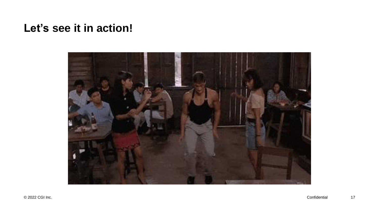#### **Let's see it in action!**